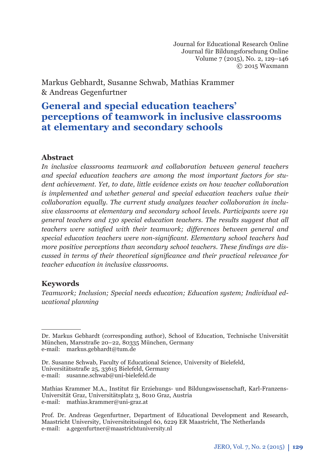Journal for Educational Research Online Journal für Bildungsforschung Online Volume 7 (2015), No. 2, 129–146 © 2015 Waxmann

Markus Gebhardt, Susanne Schwab, Mathias Krammer & Andreas Gegenfurtner

# **General and special education teachers' perceptions of teamwork in inclusive classrooms at elementary and secondary schools**

### **Abstract**

*In inclusive classrooms teamwork and collaboration between general teachers and special education teachers are among the most important factors for student achievement. Yet, to date, little evidence exists on how teacher collaboration is implemented and whether general and special education teachers value their collaboration equally. The current study analyzes teacher collaboration in inclusive classrooms at elementary and secondary school levels. Participants were 191 general teachers and 130 special education teachers. The results suggest that all teachers were satisfied with their teamwork; differences between general and* special education teachers were non-significant. Elementary school teachers had more positive perceptions than secondary school teachers. These findings are dis*cussed in terms of their theoretical significance and their practical relevance for teacher education in inclusive classrooms.* 

### **Keywords**

*Teamwork; Inclusion; Special needs education; Education system; Individual educational planning*

Dr. Markus Gebhardt (corresponding author), School of Education, Technische Universität München, Marsstraße 20–22, 80335 München, Germany e-mail: markus.gebhardt@tum.de

Dr. Susanne Schwab, Faculty of Educational Science, University of Bielefeld, Universitätsstraße 25, 33615 Bielefeld, Germany e-mail: susanne.schwab@uni-bielefeld.de

Mathias Krammer M.A., Institut für Erziehungs- und Bildungswissenschaft, Karl-Franzens-Universität Graz, Universitätsplatz 3, 8010 Graz, Austria e-mail: mathias.krammer@uni-graz.at

Prof. Dr. Andreas Gegenfurtner, Department of Educational Development and Research, Maastricht University, Universiteitssingel 60, 6229 ER Maastricht, The Netherlands e-mail: a.gegenfurtner@maastrichtuniversity.nl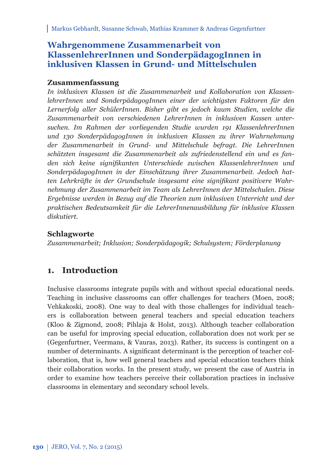## **Wahrgenommene Zusammenarbeit von KlassenlehrerInnen und SonderpädagogInnen in inklusiven Klassen in Grund- und Mittelschulen**

### **Zusammenfassung**

*In inklusiven Klassen ist die Zusammenarbeit und Kollaboration von KlassenlehrerInnen und SonderpädagogInnen einer der wichtigsten Faktoren für den Lern erfolg aller SchülerInnen. Bisher gibt es jedoch kaum Studien, welche die*  Zusammenarbeit von verschiedenen LehrerInnen in inklusiven Kassen unter*suchen. Im Rahmen der vorliegenden Studie wurden 191 KlassenlehrerInnen und 130 SonderpädagogInnen in inklusiven Klassen zu ihrer Wahrnehmung der Zusammenarbeit in Grund- und Mittelschule befragt. Die LehrerInnen schätzten insgesamt die Zusammenarbeit als zufriedenstellend ein und es fan*den sich keine signifikanten Unterschiede zwischen KlassenlehrerInnen und *SonderpädagogInnen in der Einschätzung ihrer Zusammenarbeit. Jedoch hat*ten Lehrkräfte in der Grundschule insgesamt eine signifikant positivere Wahr*nehmung der Zusammenarbeit im Team als LehrerInnen der Mittelschulen. Diese Ergebnisse werden in Bezug auf die Theorien zum inklusiven Unterricht und der praktischen Bedeutsamkeit für die LehrerInnenausbildung für inklusive Klassen diskutiert.*

## **Schlagworte**

*Zusammenarbeit; Inklusion; Sonderpädagogik; Schulsystem; Förderplanung*

## **1. Introduction**

Inclusive classrooms integrate pupils with and without special educational needs. Teaching in inclusive classrooms can offer challenges for teachers (Moen, 2008; Vehkakoski, 2008). One way to deal with those challenges for individual teachers is collaboration between general teachers and special education teachers (Kloo & Zigmond, 2008; Pihlaja & Holst, 2013). Although teacher collaboration can be useful for improving special education, collaboration does not work per se (Gegenfurtner, Veermans, & Vauras, 2013). Rather, its success is contingent on a number of determinants. A significant determinant is the perception of teacher collaboration, that is, how well general teachers and special education teachers think their collaboration works. In the present study, we present the case of Austria in order to examine how teachers perceive their collaboration practices in inclusive classrooms in elementary and secondary school levels.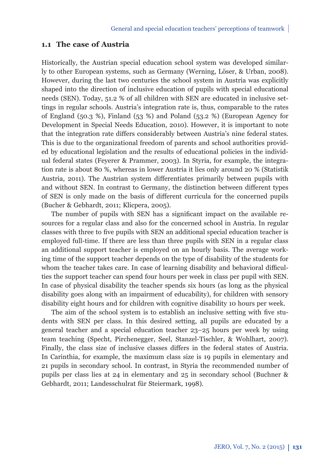### **1.1 The case of Austria**

Historically, the Austrian special education school system was developed similarly to other European systems, such as Germany (Werning, Löser, & Urban, 2008). However, during the last two centuries the school system in Austria was explicitly shaped into the direction of inclusive education of pupils with special educational needs (SEN). Today, 51.2 % of all children with SEN are educated in inclusive settings in regular schools. Austria's integration rate is, thus, comparable to the rates of England (50.3 %), Finland (53 %) and Poland (53.2 %) (European Agency for Development in Special Needs Education, 2010). However, it is important to note that the integration rate differs considerably between Austria's nine federal states. This is due to the organizational freedom of parents and school authorities provided by educational legislation and the results of educational policies in the individual federal states (Feyerer & Prammer, 2003). In Styria, for example, the integration rate is about 80 %, whereas in lower Austria it lies only around 20 % (Statistik Austria, 2011). The Austrian system differentiates primarily between pupils with and without SEN. In contrast to Germany, the distinction between different types of SEN is only made on the basis of different curricula for the concerned pupils (Bucher & Gebhardt, 2011; Klicpera, 2005).

The number of pupils with SEN has a significant impact on the available resources for a regular class and also for the concerned school in Austria. In regular classes with three to five pupils with SEN an additional special education teacher is employed full-time. If there are less than three pupils with SEN in a regular class an additional support teacher is employed on an hourly basis. The average working time of the support teacher depends on the type of disability of the students for whom the teacher takes care. In case of learning disability and behavioral difficulties the support teacher can spend four hours per week in class per pupil with SEN. In case of physical disability the teacher spends six hours (as long as the physical disability goes along with an impairment of educability), for children with sensory disability eight hours and for children with cognitive disability 10 hours per week.

The aim of the school system is to establish an inclusive setting with five students with SEN per class. In this desired setting, all pupils are educated by a general teacher and a special education teacher 23–25 hours per week by using team teaching (Specht, Pirchenegger, Seel, Stanzel-Tischler, & Wohlhart, 2007). Finally, the class size of inclusive classes differs in the federal states of Austria. In Carinthia, for example, the maximum class size is 19 pupils in elementary and 21 pupils in secondary school. In contrast, in Styria the recommended number of pupils per class lies at 24 in elementary and 25 in secondary school (Buchner & Gebhardt, 2011; Landesschulrat für Steiermark, 1998).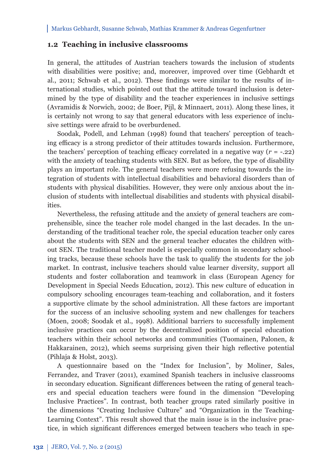#### **1.2 Teaching in inclusive classrooms**

In general, the attitudes of Austrian teachers towards the inclusion of students with disabilities were positive; and, moreover, improved over time (Gebhardt et al., 2011; Schwab et al., 2012). These findings were similar to the results of international studies, which pointed out that the attitude toward inclusion is determined by the type of disability and the teacher experiences in inclusive settings (Avramidis & Norwich, 2002; de Boer, Pijl, & Minnaert, 2011). Along these lines, it is certainly not wrong to say that general educators with less experience of inclusive settings were afraid to be overburdened.

Soodak, Podell, and Lehman (1998) found that teachers' perception of teaching efficacy is a strong predictor of their attitudes towards inclusion. Furthermore, the teachers' perception of teaching efficacy correlated in a negative way  $(r = -.22)$ with the anxiety of teaching students with SEN. But as before, the type of disability plays an important role. The general teachers were more refusing towards the integration of students with intellectual disabilities and behavioral disorders than of students with physical disabilities. However, they were only anxious about the inclusion of students with intellectual disabilities and students with physical disabilities.

Nevertheless, the refusing attitude and the anxiety of general teachers are comprehensible, since the teacher role model changed in the last decades. In the understanding of the traditional teacher role, the special education teacher only cares about the students with SEN and the general teacher educates the children without SEN. The traditional teacher model is especially common in secondary schooling tracks, because these schools have the task to qualify the students for the job market. In contrast, inclusive teachers should value learner diversity, support all students and foster collaboration and teamwork in class (European Agency for Development in Special Needs Education, 2012). This new culture of education in compulsory schooling encourages team-teaching and collaboration, and it fosters a supportive climate by the school administration. All these factors are important for the success of an inclusive schooling system and new challenges for teachers (Moen, 2008; Soodak et al., 1998). Additional barriers to successfully implement inclusive practices can occur by the decentralized position of special education teachers within their school networks and communities (Tuomainen, Palonen, & Hakkarainen, 2012), which seems surprising given their high reflective potential (Pihlaja & Holst, 2013).

A questionnaire based on the "Index for Inclusion", by Moliner, Sales, Ferrandez, and Traver (2011), examined Spanish teachers in inclusive classrooms in secondary education. Significant differences between the rating of general teachers and special education teachers were found in the dimension "Developing Inclusive Practices". In contrast, both teacher groups rated similarly positive in the dimensions "Creating Inclusive Culture" and "Organization in the Teaching-Learning Context". This result showed that the main issue is in the inclusive practice, in which significant differences emerged between teachers who teach in spe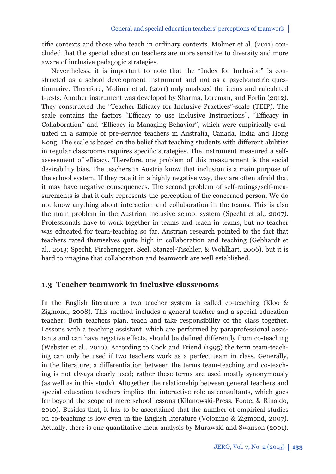cific contexts and those who teach in ordinary contexts. Moliner et al. (2011) concluded that the special education teachers are more sensitive to diversity and more aware of inclusive pedagogic strategies.

Nevertheless, it is important to note that the "Index for Inclusion" is constructed as a school development instrument and not as a psychometric questionnaire. Therefore, Moliner et al. (2011) only analyzed the items and calculated t-tests. Another instrument was developed by Sharma, Loreman, and Forlin (2012). They constructed the "Teacher Efficacy for Inclusive Practices"-scale (TEIP). The scale contains the factors "Efficacy to use Inclusive Instructions", "Efficacy in Collaboration" and "Efficacy in Managing Behavior", which were empirically evaluated in a sample of pre-service teachers in Australia, Canada, India and Hong Kong. The scale is based on the belief that teaching students with different abilities in regular classrooms requires specific strategies. The instrument measured a selfassessment of efficacy. Therefore, one problem of this measurement is the social desirability bias. The teachers in Austria know that inclusion is a main purpose of the school system. If they rate it in a highly negative way, they are often afraid that it may have negative consequences. The second problem of self-ratings/self-measurements is that it only represents the perception of the concerned person. We do not know anything about interaction and collaboration in the teams. This is also the main problem in the Austrian inclusive school system (Specht et al., 2007). Professionals have to work together in teams and teach in teams, but no teacher was educated for team-teaching so far. Austrian research pointed to the fact that teachers rated themselves quite high in collaboration and teaching (Gebhardt et al., 2013; Specht, Pirchenegger, Seel, Stanzel-Tischler, & Wohlhart, 2006), but it is hard to imagine that collaboration and teamwork are well established.

### **1.3 Teacher teamwork in inclusive classrooms**

In the English literature a two teacher system is called co-teaching (Kloo & Zigmond, 2008). This method includes a general teacher and a special education teacher: Both teachers plan, teach and take responsibility of the class together. Lessons with a teaching assistant, which are performed by paraprofessional assistants and can have negative effects, should be defined differently from co-teaching (Webster et al., 2010). According to Cook and Friend (1995) the term team-teaching can only be used if two teachers work as a perfect team in class. Generally, in the literature, a differentiation between the terms team-teaching and co-teaching is not always clearly used; rather these terms are used mostly synonymously (as well as in this study). Altogether the relationship between general teachers and special education teachers implies the interactive role as consultants, which goes far beyond the scope of mere school lessons (Kilanowski-Press, Foote, & Rinaldo, 2010). Besides that, it has to be ascertained that the number of empirical studies on co-teaching is low even in the English literature (Volonino & Zigmond, 2007). Actually, there is one quantitative meta-analysis by Murawski and Swanson (2001).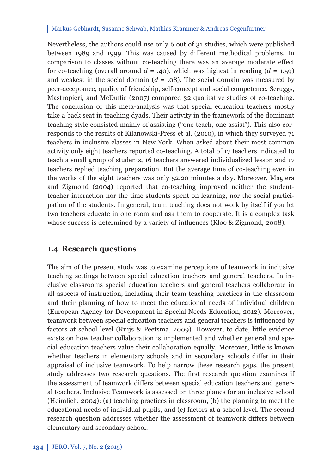Nevertheless, the authors could use only 6 out of 31 studies, which were published between 1989 and 1999. This was caused by different methodical problems. In comparison to classes without co-teaching there was an average moderate effect for co-teaching (overall around  $d = .40$ ), which was highest in reading  $(d = 1.59)$ and weakest in the social domain  $(d = .08)$ . The social domain was measured by peer-acceptance, quality of friendship, self-concept and social competence. Scruggs, Mastropieri, and McDuffie (2007) compared 32 qualitative studies of co-teaching. The conclusion of this meta-analysis was that special education teachers mostly take a back seat in teaching dyads. Their activity in the framework of the dominant teaching style consisted mainly of assisting ("one teach, one assist"). This also corresponds to the results of Kilanowski-Press et al. (2010), in which they surveyed 71 teachers in inclusive classes in New York. When asked about their most common activity only eight teachers reported co-teaching. A total of 17 teachers indicated to teach a small group of students, 16 teachers answered individualized lesson and 17 teachers replied teaching preparation. But the average time of co-teaching even in the works of the eight teachers was only 52.20 minutes a day. Moreover, Magiera and Zigmond (2004) reported that co-teaching improved neither the studentteacher interaction nor the time students spent on learning, nor the social participation of the students. In general, team teaching does not work by itself if you let two teachers educate in one room and ask them to cooperate. It is a complex task whose success is determined by a variety of influences (Kloo & Zigmond, 2008).

#### **1.4 Research questions**

The aim of the present study was to examine perceptions of teamwork in inclusive teaching settings between special education teachers and general teachers. In inclusive classrooms special education teachers and general teachers collaborate in all aspects of instruction, including their team teaching practices in the classroom and their planning of how to meet the educational needs of individual children (European Agency for Development in Special Needs Education, 2012). Moreover, teamwork between special education teachers and general teachers is influenced by factors at school level (Ruijs & Peetsma, 2009). However, to date, little evidence exists on how teacher collaboration is implemented and whether general and special education teachers value their collaboration equally. Moreover, little is known whether teachers in elementary schools and in secondary schools differ in their appraisal of inclusive teamwork. To help narrow these research gaps, the present study addresses two research questions. The first research question examines if the assessment of teamwork differs between special education teachers and general teachers. Inclusive Teamwork is assessed on three planes for an inclusive school (Heimlich, 2004): (a) teaching practices in classroom, (b) the planning to meet the educational needs of individual pupils, and (c) factors at a school level. The second research question addresses whether the assessment of teamwork differs between elementary and secondary school.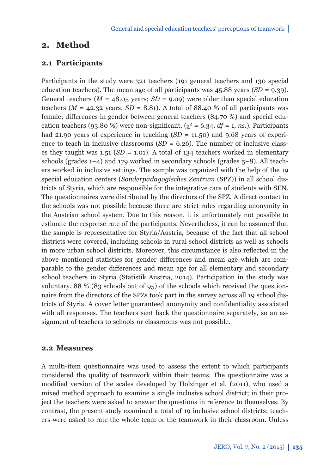## **2. Method**

#### **2.1 Participants**

Participants in the study were 321 teachers (191 general teachers and 130 special education teachers). The mean age of all participants was 45.88 years (*SD* = 9.39). General teachers ( $M = 48.05$  years;  $SD = 9.09$ ) were older than special education teachers ( $M = 42.32$  years;  $SD = 8.81$ ). A total of 88.40 % of all participants was female; differences in gender between general teachers (84.70 %) and special education teachers (93.80 %) were non-significant,  $(\gamma^2 = 6.34, df = 1, ns)$ . Participants had 21.90 years of experience in teaching  $(SD = 11.50)$  and 9.68 years of experience to teach in inclusive classrooms  $(SD = 6.26)$ . The number of inclusive classes they taught was  $1.51$  (*SD* = 1.01). A total of 134 teachers worked in elementary schools (grades  $1-4$ ) and  $179$  worked in secondary schools (grades  $5-8$ ). All teachers worked in inclusive settings. The sample was organized with the help of the 19 special education centers (*Sonderpädagogisches Zentrum* (SPZ)) in all school districts of Styria, which are responsible for the integrative care of students with SEN. The questionnaires were distributed by the directors of the SPZ. A direct contact to the schools was not possible because there are strict rules regarding anonymity in the Austrian school system. Due to this reason, it is unfortunately not possible to estimate the response rate of the participants. Nevertheless, it can be assumed that the sample is representative for Styria/Austria, because of the fact that all school districts were covered, including schools in rural school districts as well as schools in more urban school districts. Moreover, this circumstance is also reflected in the above mentioned statistics for gender differences and mean age which are comparable to the gender differences and mean age for all elementary and secondary school teachers in Styria (Statistik Austria, 2014). Participation in the study was voluntary. 88 % (83 schools out of 95) of the schools which received the questionnaire from the directors of the SPZs took part in the survey across all 19 school districts of Styria. A cover letter guaranteed anonymity and confidentiality associated with all responses. The teachers sent back the questionnaire separately, so an assignment of teachers to schools or classrooms was not possible.

#### **2.2 Measures**

A multi-item questionnaire was used to assess the extent to which participants considered the quality of teamwork within their teams. The questionnaire was a modified version of the scales developed by Holzinger et al. (2011), who used a mixed method approach to examine a single inclusive school district; in their project the teachers were asked to answer the questions in reference to themselves. By contrast, the present study examined a total of 19 inclusive school districts; teachers were asked to rate the whole team or the teamwork in their classroom. Unless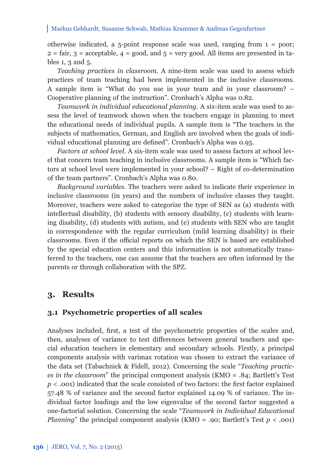otherwise indicated, a 5-point response scale was used, ranging from  $1 =$  poor;  $2 = \text{fair}, 3 = \text{acceptable}, 4 = \text{good}, \text{ and } 5 = \text{very good}.$  All items are presented in tables 1, 3 and 5.

*Teaching practices in classroom*. A nine-item scale was used to assess which practices of team teaching had been implemented in the inclusive classrooms. A sample item is "What do you use in your team and in your classroom? – Cooperative planning of the instruction". Cronbach's Alpha was 0.82.

*Teamwork in individual educational planning.* A six-item scale was used to assess the level of teamwork shown when the teachers engage in planning to meet the educational needs of individual pupils. A sample item is "The teachers in the subjects of mathematics, German, and English are involved when the goals of individual educational planning are defined". Cronbach's Alpha was 0.95.

*Factors at school level*. A six-item scale was used to assess factors at school level that concern team teaching in inclusive classrooms. A sample item is "Which factors at school level were implemented in your school? – Right of co-determination of the team partners". Cronbach's Alpha was 0.80.

*Background variables*. The teachers were asked to indicate their experience in inclusive classrooms (in years) and the numbers of inclusive classes they taught. Moreover, teachers were asked to categorize the type of SEN as (a) students with intellectual disability, (b) students with sensory disability, (c) students with learning disability, (d) students with autism, and (e) students with SEN who are taught in correspondence with the regular curriculum (mild learning disability) in their classrooms. Even if the official reports on which the SEN is based are established by the special education centers and this information is not automatically transferred to the teachers, one can assume that the teachers are often informed by the parents or through collaboration with the SPZ.

## **3. Results**

#### **3.1 Psychometric properties of all scales**

Analyses included, first, a test of the psychometric properties of the scales and, then, analyses of variance to test differences between general teachers and special education teachers in elementary and secondary schools. Firstly, a principal components analysis with varimax rotation was chosen to extract the variance of the data set (Tabachnick & Fidell, 2012). Concerning the scale "*Teaching practices in the classroom*" the principal component analysis (KMO = .84; Bartlett's Test  $p <$  .001) indicated that the scale consisted of two factors: the first factor explained 57.48 % of variance and the second factor explained 14.09 % of variance. The individual factor loadings and the low eigenvalue of the second factor suggested a one-factorial solution. Concerning the scale "*Teamwork in Individual Educational Planning*" the principal component analysis (KMO = .90; Bartlett's Test *p* < .001)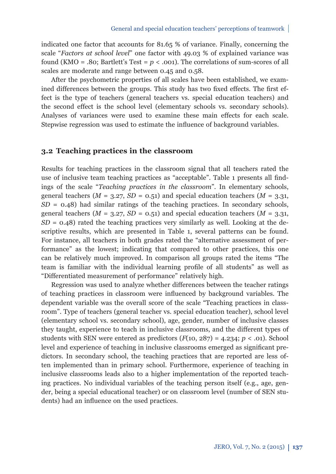indicated one factor that accounts for 81.65 % of variance. Finally, concerning the scale "*Factors at school level*" one factor with 49.03 % of explained variance was found (KMO = .80; Bartlett's Test =  $p < .001$ ). The correlations of sum-scores of all scales are moderate and range between 0.45 and 0.58.

After the psychometric properties of all scales have been established, we examined differences between the groups. This study has two fixed effects. The first effect is the type of teachers (general teachers vs. special education teachers) and the second effect is the school level (elementary schools vs. secondary schools). Analyses of variances were used to examine these main effects for each scale. Stepwise regression was used to estimate the influence of background variables.

#### **3.2 Teaching practices in the classroom**

Results for teaching practices in the classroom signal that all teachers rated the use of inclusive team teaching practices as "acceptable". Table 1 presents all findings of the scale "*Teaching practices in the classroom*". In elementary schools, general teachers  $(M = 3.27, SD = 0.51)$  and special education teachers  $(M = 3.31,$ *SD* = 0.48) had similar ratings of the teaching practices. In secondary schools, general teachers ( $M = 3.27$ ,  $SD = 0.51$ ) and special education teachers ( $M = 3.31$ ,  $SD = 0.48$ ) rated the teaching practices very similarly as well. Looking at the descriptive results, which are presented in Table 1, several patterns can be found. For instance, all teachers in both grades rated the "alternative assessment of performance" as the lowest; indicating that compared to other practices, this one can be relatively much improved. In comparison all groups rated the items "The team is familiar with the individual learning profile of all students" as well as "Differentiated measurement of performance" relatively high.

Regression was used to analyze whether differences between the teacher ratings of teaching practices in classroom were influenced by background variables. The dependent variable was the overall score of the scale "Teaching practices in classroom". Type of teachers (general teacher vs. special education teacher), school level (elementary school vs. secondary school), age, gender, number of inclusive classes they taught, experience to teach in inclusive classrooms, and the different types of students with SEN were entered as predictors  $(F(10, 287) = 4.234; p < .01)$ . School level and experience of teaching in inclusive classrooms emerged as significant predictors. In secondary school, the teaching practices that are reported are less often implemented than in primary school. Furthermore, experience of teaching in inclusive classrooms leads also to a higher implementation of the reported teaching practices. No individual variables of the teaching person itself (e.g., age, gender, being a special educational teacher) or on classroom level (number of SEN students) had an influence on the used practices.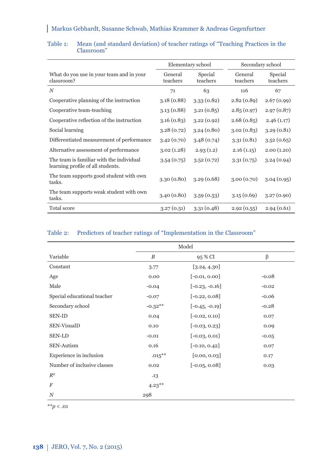|                                                                               | Elementary school   |                     | Secondary school    |                     |
|-------------------------------------------------------------------------------|---------------------|---------------------|---------------------|---------------------|
| What do you use in your team and in your<br>classroom?                        | General<br>teachers | Special<br>teachers | General<br>teachers | Special<br>teachers |
| $\boldsymbol{N}$                                                              | 71                  | 63                  | 116                 | 67                  |
| Cooperative planning of the instruction                                       | 3.18(0.88)          | 3.33(0.82)          | 2.82(0.89)          | 2.67(0.99)          |
| Cooperative team-teaching                                                     | 3.13(0.88)          | 3.21(0.85)          | 2.85(0.97)          | 2.97(0.87)          |
| Cooperative reflection of the instruction                                     | 3.16(0.83)          | 3.22(0.92)          | 2.68(0.85)          | 2.46(1.17)          |
| Social learning                                                               | 3.28(0.72)          | 3.24(0.80)          | 3.02(0.83)          | 3.29(0.81)          |
| Differentiated measurement of performance                                     | 3.42(0.70)          | 3.48(0.74)          | 3.31(0.81)          | 3.52(0.65)          |
| Alternative assessment of performance                                         | 3.02(1.28)          | 2.93(1.2)           | 2.16(1.15)          | 2.00(1.20)          |
| The team is familiar with the individual<br>learning profile of all students. | 3.54(0.75)          | 3.52(0.72)          | 3.31(0.75)          | 3.24(0.94)          |
| The team supports good student with own<br>tasks.                             | 3.30(0.80)          | 3.29(0.68)          | 3.00(0.70)          | 3.04(0.95)          |
| The team supports weak student with own<br>tasks.                             | 3.40(0.80)          | 3.59(0.53)          | 3.15(0.69)          | 3.27(0.90)          |
| Total score                                                                   | 3.27(0.51)          | 3.31(0.48)          | 2.92(0.55)          | 2.94(0.61)          |

#### Table 1: Mean (and standard deviation) of teacher ratings of "Teaching Practices in the Classroom"

### Table 2: Predictors of teacher ratings of "Implementation in the Classroom"

|                             | Model     |                  |         |  |
|-----------------------------|-----------|------------------|---------|--|
| Variable                    | B         | 95 % CI          | β       |  |
| Constant                    | 3.77      | [3.24, 4.30]     |         |  |
| Age                         | 0.00      | $[-0.01, 0.00]$  | $-0.08$ |  |
| Male                        | $-0.04$   | $[-0.23, -0.16]$ | $-0.02$ |  |
| Special educational teacher | $-0.07$   | $[-0.22, 0.08]$  | $-0.06$ |  |
| Secondary school            | $-0.32**$ | $[-0.45, -0.19]$ | $-0.28$ |  |
| <b>SEN-ID</b>               | 0.04      | $[-0.02, 0.10]$  | 0.07    |  |
| SEN-VisualD                 | 0.10      | $[-0.03, 0.23]$  | 0.09    |  |
| SEN-LD                      | $-0.01$   | $[-0.03, 0.01]$  | $-0.05$ |  |
| SEN-Autism                  | 0.16      | $[-0.10, 0.42]$  | 0.07    |  |
| Experience in inclusion     | $.015***$ | [0.00, 0.03]     | 0.17    |  |
| Number of inclusive classes | 0.02      | $[-0.05, 0.08]$  | 0.03    |  |
| $R^2$                       | .13       |                  |         |  |
| $\boldsymbol{F}$            | $4.23***$ |                  |         |  |
| $\boldsymbol{N}$            | 298       |                  |         |  |

\*\**p* < .01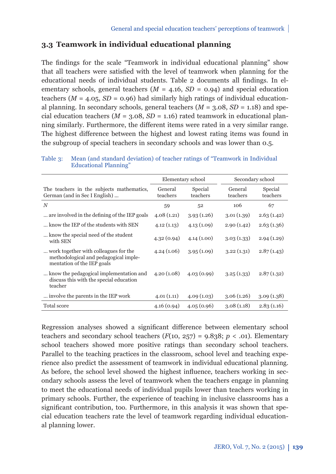## **3.3 Teamwork in individual educational planning**

The findings for the scale "Teamwork in individual educational planning" show that all teachers were satisfied with the level of teamwork when planning for the educational needs of individual students. Table 2 documents all findings. In elementary schools, general teachers  $(M = 4.16, SD = 0.94)$  and special education teachers ( $M = 4.05$ ,  $SD = 0.96$ ) had similarly high ratings of individual educational planning. In secondary schools, general teachers  $(M = 3.08, SD = 1.18)$  and special education teachers  $(M = 3.08, SD = 1.16)$  rated teamwork in educational planning similarly. Furthermore, the different items were rated in a very similar range. The highest difference between the highest and lowest rating items was found in the subgroup of special teachers in secondary schools and was lower than 0.5.

|                                                                                                              | Secondary school    |                     |                     |                     |
|--------------------------------------------------------------------------------------------------------------|---------------------|---------------------|---------------------|---------------------|
|                                                                                                              | Elementary school   |                     |                     |                     |
| The teachers in the subjects mathematics,<br>German (and in Sec I English)                                   | General<br>teachers | Special<br>teachers | General<br>teachers | Special<br>teachers |
| $\boldsymbol{N}$                                                                                             | 59                  | 52                  | 106                 | 67                  |
| are involved in the defining of the IEP goals.                                                               | 4.08(1.21)          | 3.93(1.26)          | 3.01(1.39)          | 2.63(1.42)          |
| know the IEP of the students with SEN                                                                        | 4.12(1.13)          | 4.13(1.09)          | 2.90(1.42)          | 2.63(1.36)          |
| know the special need of the student<br>with SEN                                                             | 4.32(0.94)          | 4.14(1.00)          | 3.03(1.33)          | 2.94(1.29)          |
| work together with colleagues for the<br>methodological and pedagogical imple-<br>mentation of the IEP goals | 4.24(1.06)          | 3.95(1.09)          | 3.22(1.31)          | 2.87(1.43)          |
| know the pedagogical implementation and<br>discuss this with the special education<br>teacher                | 4.20(1.08)          | 4.03(0.99)          | 3.25(1.33)          | 2.87(1.32)          |
| involve the parents in the IEP work.                                                                         | 4.01(1.11)          | 4.09(1.03)          | 3.06(1.26)          | 3.09(1.38)          |
| <b>Total score</b>                                                                                           | 4.16(0.94)          | 4.05(0.96)          | 3.08(1.18)          | 2.83(1.16)          |

Table 3: Mean (and standard deviation) of teacher ratings of "Teamwork in Individual Educational Planning"

Regression analyses showed a significant difference between elementary school teachers and secondary school teachers  $(F(10, 257) = 9.838; p < .01)$ . Elementary school teachers showed more positive ratings than secondary school teachers. Parallel to the teaching practices in the classroom, school level and teaching experience also predict the assessment of teamwork in individual educational planning. As before, the school level showed the highest influence, teachers working in secondary schools assess the level of teamwork when the teachers engage in planning to meet the educational needs of individual pupils lower than teachers working in primary schools. Further, the experience of teaching in inclusive classrooms has a significant contribution, too. Furthermore, in this analysis it was shown that special education teachers rate the level of teamwork regarding individual educational planning lower.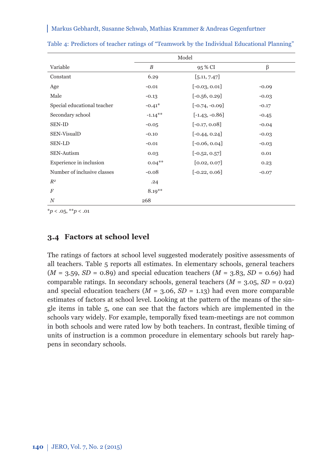|                             | Model      |                  |         |  |
|-----------------------------|------------|------------------|---------|--|
| Variable                    | B          | 95 % CI          | β       |  |
| Constant                    | 6.29       | [5.11, 7.47]     |         |  |
| Age                         | $-0.01$    | $[-0.03, 0.01]$  | $-0.09$ |  |
| Male                        | $-0.13$    | $[-0.56, 0.29]$  | $-0.03$ |  |
| Special educational teacher | $-0.41*$   | $[-0.74, -0.09]$ | $-0.17$ |  |
| Secondary school            | $-1.14***$ | $[-1.43, -0.86]$ | $-0.45$ |  |
| <b>SEN-ID</b>               | $-0.05$    | $[-0.17, 0.08]$  | $-0.04$ |  |
| SEN-VisualD                 | $-0.10$    | $[-0.44, 0.24]$  | $-0.03$ |  |
| SEN-LD                      | $-0.01$    | $[-0.06, 0.04]$  | $-0.03$ |  |
| <b>SEN-Autism</b>           | 0.03       | $[-0.52, 0.57]$  | 0.01    |  |
| Experience in inclusion     | $0.04***$  | [0.02, 0.07]     | 0.23    |  |
| Number of inclusive classes | $-0.08$    | $[-0.22, 0.06]$  | $-0.07$ |  |
| $R^2$                       | .24        |                  |         |  |
| $\overline{F}$              | $8.19***$  |                  |         |  |
| $\boldsymbol{N}$            | 268        |                  |         |  |

Table 4: Predictors of teacher ratings of "Teamwork by the Individual Educational Planning"

\**p* < .05, \*\**p* < .01

### **3.4 Factors at school level**

The ratings of factors at school level suggested moderately positive assessments of all teachers. Table 5 reports all estimates. In elementary schools, general teachers  $(M = 3.59, SD = 0.89)$  and special education teachers  $(M = 3.83, SD = 0.69)$  had comparable ratings. In secondary schools, general teachers  $(M = 3.05, SD = 0.92)$ and special education teachers ( $M = 3.06$ ,  $SD = 1.13$ ) had even more comparable estimates of factors at school level. Looking at the pattern of the means of the single items in table 5, one can see that the factors which are implemented in the schools vary widely. For example, temporally fixed team-meetings are not common in both schools and were rated low by both teachers. In contrast, flexible timing of units of instruction is a common procedure in elementary schools but rarely happens in secondary schools.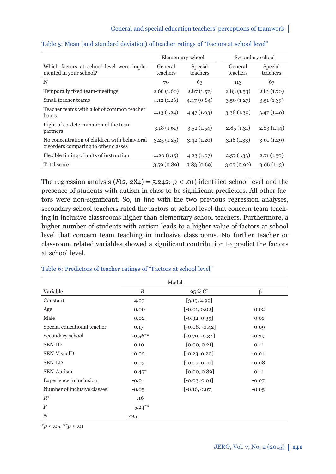|                                                                                      | Elementary school   |                     | Secondary school    |                     |
|--------------------------------------------------------------------------------------|---------------------|---------------------|---------------------|---------------------|
| Which factors at school level were imple-<br>mented in your school?                  | General<br>teachers | Special<br>teachers | General<br>teachers | Special<br>teachers |
| N                                                                                    | 70                  | 63                  | 113                 | 67                  |
| Temporally fixed team-meetings                                                       | 2.66(1.60)          | 2.87(1.57)          | 2.83(1.53)          | 2.81(1.70)          |
| Small teacher teams                                                                  | 4.12(1.26)          | 4.47(0.84)          | 3.50(1.27)          | 3.51(1.39)          |
| Teacher teams with a lot of common teacher<br>hours                                  | 4.13(1.24)          | 4.47(1.03)          | 3.38(1.30)          | 3.47(1.40)          |
| Right of co-determination of the team<br>partners                                    | 3.18(1.61)          | 3.52(1.54)          | 2.85(1.31)          | 2.83(1.44)          |
| No concentration of children with behavioral<br>disorders comparing to other classes | 3.25(1.25)          | 3.42(1.20)          | 3.16(1.33)          | 3.01(1.29)          |
| Flexible timing of units of instruction                                              | 4.20(1.15)          | 4.23(1.07)          | 2.57(1.33)          | 2.71(1.50)          |
| Total score                                                                          | 3.59(0.89)          | 3.83(0.69)          | 3.05(0.92)          | 3.06(1.13)          |

#### Table 5: Mean (and standard deviation) of teacher ratings of "Factors at school level"

The regression analysis  $(F(2, 284) = 5.242; p < .01)$  identified school level and the presence of students with autism in class to be significant predictors. All other factors were non-significant. So, in line with the two previous regression analyses, secondary school teachers rated the factors at school level that concern team teaching in inclusive classrooms higher than elementary school teachers. Furthermore, a higher number of students with autism leads to a higher value of factors at school level that concern team teaching in inclusive classrooms. No further teacher or classroom related variables showed a significant contribution to predict the factors at school level.

|                             | Model     |                  |         |  |
|-----------------------------|-----------|------------------|---------|--|
| Variable                    | B         | 95 % CI          | β       |  |
| Constant                    | 4.07      | [3.15, 4.99]     |         |  |
| Age                         | 0.00      | $[-0.01, 0.02]$  | 0.02    |  |
| Male                        | 0.02      | $[-0.32, 0.35]$  | 0.01    |  |
| Special educational teacher | 0.17      | $[-0.08, -0.42]$ | 0.09    |  |
| Secondary school            | $-0.56**$ | $[-0.79, -0.34]$ | $-0.29$ |  |
| <b>SEN-ID</b>               | 0.10      | [0.00, 0.21]     | 0.11    |  |
| SEN-VisualD                 | $-0.02$   | $[-0.23, 0.20]$  | $-0.01$ |  |
| <b>SEN-LD</b>               | $-0.03$   | $[-0.07, 0.01]$  | $-0.08$ |  |
| <b>SEN-Autism</b>           | $0.45*$   | [0.00, 0.89]     | 0.11    |  |
| Experience in inclusion     | $-0.01$   | $[-0.03, 0.01]$  | $-0.07$ |  |
| Number of inclusive classes | $-0.05$   | $[-0.16, 0.07]$  | $-0.05$ |  |
| $R^2$                       | .16       |                  |         |  |
| $\boldsymbol{F}$            | $5.24***$ |                  |         |  |
| $\boldsymbol{N}$            | 295       |                  |         |  |

#### Table 6: Predictors of teacher ratings of "Factors at school level"

 $*_{p}$  < .05,  $*_{p}$  < .01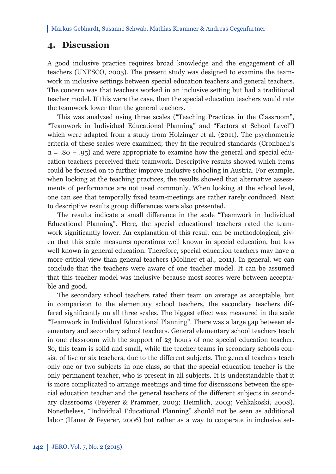## **4. Discussion**

A good inclusive practice requires broad knowledge and the engagement of all teachers (UNESCO, 2005). The present study was designed to examine the teamwork in inclusive settings between special education teachers and general teachers. The concern was that teachers worked in an inclusive setting but had a traditional teacher model. If this were the case, then the special education teachers would rate the teamwork lower than the general teachers.

This was analyzed using three scales ("Teaching Practices in the Classroom", "Teamwork in Individual Educational Planning" and "Factors at School Level") which were adapted from a study from Holzinger et al. (2011). The psychometric criteria of these scales were examined; they fi t the required standards (Cronbach's  $\alpha = .80 - .95$  and were appropriate to examine how the general and special education teachers perceived their teamwork. Descriptive results showed which items could be focused on to further improve inclusive schooling in Austria. For example, when looking at the teaching practices, the results showed that alternative assessments of performance are not used commonly. When looking at the school level, one can see that temporally fixed team-meetings are rather rarely conduced. Next to descriptive results group differences were also presented.

The results indicate a small difference in the scale "Teamwork in Individual Educational Planning". Here, the special educational teachers rated the teamwork significantly lower. An explanation of this result can be methodological, given that this scale measures operations well known in special education, but less well known in general education. Therefore, special education teachers may have a more critical view than general teachers (Moliner et al., 2011). In general, we can conclude that the teachers were aware of one teacher model. It can be assumed that this teacher model was inclusive because most scores were between acceptable and good.

The secondary school teachers rated their team on average as acceptable, but in comparison to the elementary school teachers, the secondary teachers differed significantly on all three scales. The biggest effect was measured in the scale "Teamwork in Individual Educational Planning". There was a large gap between elementary and secondary school teachers. General elementary school teachers teach in one classroom with the support of 23 hours of one special education teacher. So, this team is solid and small, while the teacher teams in secondary schools consist of five or six teachers, due to the different subjects. The general teachers teach only one or two subjects in one class, so that the special education teacher is the only permanent teacher, who is present in all subjects. It is understandable that it is more complicated to arrange meetings and time for discussions between the special education teacher and the general teachers of the different subjects in secondary classrooms (Feyerer & Prammer, 2003; Heimlich, 2003; Vehkakoski, 2008). Nonetheless, "Individual Educational Planning" should not be seen as additional labor (Hauer & Feyerer, 2006) but rather as a way to cooperate in inclusive set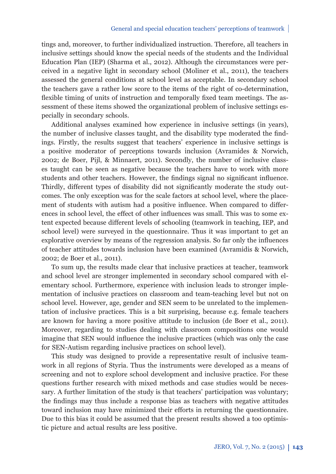tings and, moreover, to further individualized instruction. Therefore, all teachers in inclusive settings should know the special needs of the students and the Individual Education Plan (IEP) (Sharma et al., 2012). Although the circumstances were perceived in a negative light in secondary school (Moliner et al., 2011), the teachers assessed the general conditions at school level as acceptable. In secondary school the teachers gave a rather low score to the items of the right of co-determination, flexible timing of units of instruction and temporally fixed team meetings. The assessment of these items showed the organizational problem of inclusive settings especially in secondary schools.

Additional analyses examined how experience in inclusive settings (in years), the number of inclusive classes taught, and the disability type moderated the findings. Firstly, the results suggest that teachers' experience in inclusive settings is a positive moderator of perceptions towards inclusion (Avramides & Norwich, 2002; de Boer, Pijl, & Minnaert, 2011). Secondly, the number of inclusive classes taught can be seen as negative because the teachers have to work with more students and other teachers. However, the findings signal no significant influence. Thirdly, different types of disability did not significantly moderate the study outcomes. The only exception was for the scale factors at school level, where the placement of students with autism had a positive influence. When compared to differences in school level, the effect of other influences was small. This was to some extent expected because different levels of schooling (teamwork in teaching, IEP, and school level) were surveyed in the questionnaire. Thus it was important to get an explorative overview by means of the regression analysis. So far only the influences of teacher attitudes towards inclusion have been examined (Avramidis & Norwich, 2002; de Boer et al., 2011).

To sum up, the results made clear that inclusive practices at teacher, teamwork and school level are stronger implemented in secondary school compared with elementary school. Furthermore, experience with inclusion leads to stronger implementation of inclusive practices on classroom and team-teaching level but not on school level. However, age, gender and SEN seem to be unrelated to the implementation of inclusive practices. This is a bit surprising, because e.g. female teachers are known for having a more positive attitude to inclusion (de Boer et al., 2011). Moreover, regarding to studies dealing with classroom compositions one would imagine that SEN would influence the inclusive practices (which was only the case for SEN-Autism regarding inclusive practices on school level).

This study was designed to provide a representative result of inclusive teamwork in all regions of Styria. Thus the instruments were developed as a means of screening and not to explore school development and inclusive practice. For these questions further research with mixed methods and case studies would be necessary. A further limitation of the study is that teachers' participation was voluntary; the findings may thus include a response bias as teachers with negative attitudes toward inclusion may have minimized their efforts in returning the questionnaire. Due to this bias it could be assumed that the present results showed a too optimistic picture and actual results are less positive.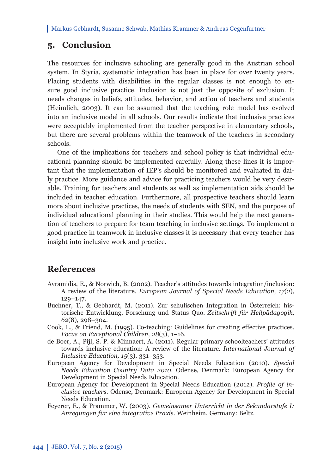## **5. Conclusion**

The resources for inclusive schooling are generally good in the Austrian school system. In Styria, systematic integration has been in place for over twenty years. Placing students with disabilities in the regular classes is not enough to ensure good inclusive practice. Inclusion is not just the opposite of exclusion. It needs changes in beliefs, attitudes, behavior, and action of teachers and students (Heimlich, 2003). It can be assumed that the teaching role model has evolved into an inclusive model in all schools. Our results indicate that inclusive practices were acceptably implemented from the teacher perspective in elementary schools, but there are several problems within the teamwork of the teachers in secondary schools.

One of the implications for teachers and school policy is that individual educational planning should be implemented carefully. Along these lines it is important that the implementation of IEP's should be monitored and evaluated in daily practice. More guidance and advice for practicing teachers would be very desirable. Training for teachers and students as well as implementation aids should be included in teacher education. Furthermore, all prospective teachers should learn more about inclusive practices, the needs of students with SEN, and the purpose of individual educational planning in their studies. This would help the next generation of teachers to prepare for team teaching in inclusive settings. To implement a good practice in teamwork in inclusive classes it is necessary that every teacher has insight into inclusive work and practice.

## **References**

- Avramidis, E., & Norwich, B. (2002). Teacher's attitudes towards integration/inclusion: A review of the literature. *European Journal of Special Needs Education, 17*(2), 129–147.
- Buchner, T., & Gebhardt, M. (2011). Zur schulischen Integration in Österreich: historische Entwicklung, Forschung und Status Quo. *Zeitschrift für Heilpädagogik, 62*(8), 298–304.
- Cook, L., & Friend, M. (1995). Co-teaching: Guidelines for creating effective practices. *Focus on Exceptional Children, 28*(3), 1–16.
- de Boer, A., Pijl, S. P. & Minnaert, A. (2011). Regular primary schoolteachers' attitudes towards inclusive education: A review of the literature. *International Journal of Inclusive Education, 15*(3), 331–353.
- European Agency for Development in Special Needs Education (2010). *Special Needs Education Country Data 2010*. Odense, Denmark: European Agency for Development in Special Needs Education.
- European Agency for Development in Special Needs Education (2012). *Profile of inclusive teachers.* Odense, Denmark: European Agency for Development in Special Needs Education.
- Feyerer, E., & Prammer, W. (2003). *Gemeinsamer Unterricht in der Sekundarstufe I: Anregungen für eine integrative Praxis*. Weinheim, Germany: Beltz.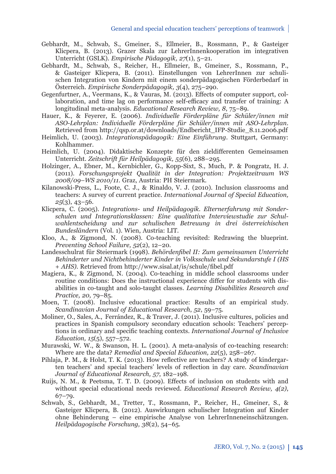- Gebhardt, M., Schwab, S., Gmeiner, S., Ellmeier, B., Rossmann, P., & Gasteiger Klicpera, B. (2013). Grazer Skala zur LehrerInnenkooperation im integrativen Unterricht (GSLK). *Empirische Pädagogik, 27*(1), 5–21.
- Gebhardt, M., Schwab, S., Reicher, H., Ellmeier, B., Gmeiner, S., Rossmann, P., & Gasteiger Klicpera, B. (2011). Einstellungen von LehrerInnen zur schulischen Integration von Kindern mit einem sonderpädagogischen Förderbedarf in Österreich. *Empirische Sonderpädagogik, 3*(4), 275–290.
- Gegenfurtner, A., Veermans, K., & Vauras, M. (2013). Effects of computer support, collaboration, and time lag on performance self-efficacy and transfer of training: A longitudinal meta-analysis. *Educational Research Review, 8*, 75–89.
- Hauer, K., & Feyerer, E. (2006). *Individuelle Förderpläne für Schüler/innen mit ASO-Lehrplan: Individuelle Förderpläne für Schüler/innen mit ASO-Lehrplan*. Retrieved from http://qsp.or.at/downloads/Endbericht\_IFP-Studie\_8.11.2006.pdf
- Heimlich, U. (2003). *Integrationspädagogik: Eine Einführung*. Stuttgart, Germany: Kohlhammer.
- Heimlich, U. (2004). Didaktische Konzepte für den zieldifferenten Gemeinsamen Unterricht. *Zeitschrift für Heilpädagogik, 55*(6), 288–295.
- Holzinger, A., Ebner, M., Kernbichler, G., Kopp-Sixt, S., Much, P. & Pongratz, H. J. (2011). *Forschungsprojekt Qualität in der Integration: Projektzeitraum WS 2008/09–WS 2010/11.* Graz, Austria: PH Steiermark.
- Kilanowski-Press, L., Foote, C. J., & Rinaldo, V. J. (2010). Inclusion classrooms and teachers: A survey of current practice. *International Journal of Special Education, 25*(3), 43–56.
- Klicpera, C. (2005). *Integrations- und Heilpädagogik. Elternerfahrung mit Sonderschulen und Integrationsklassen: Eine qualitative Interviewstudie zur Schulwahl entscheidung und zur schulischen Betreuung in drei österreichischen Bundesländern* (Vol. 1). Wien, Austria: LIT.
- Kloo, A., & Zigmond, N. (2008). Co-teaching revisited: Redrawing the blueprint. *Preventing School Failure, 52*(2), 12–20.
- Landesschulrat für Steiermark (1998). *Behördenfibel II: Zum gemeinsamen Unterricht Behinderter und Nichtbehinderter Kinder in Volksschule und Sekundarstufe I (HS + AHS*). Retrieved from http://www.sisal.at/is/schule/fibel.pdf
- Magiera, K., & Zigmond, N. (2004). Co-teaching in middle school classrooms under routine conditions: Does the instructional experience differ for students with disabilities in co-taught and solo-taught classes. *Learning Disabilities Research and Practice, 20,* 79–85.
- Moen, T. (2008). Inclusive educational practice: Results of an empirical study. *Scandinavian Journal of Educational Research*, *52*, 59–75.
- Moliner, O., Sales, A., Ferrández, R., & Traver, J. (2011). Inclusive cultures, policies and practices in Spanish compulsory secondary education schools: Teachers' perceptions in ordinary and specific teaching contexts. *International Journal of Inclusive Education, 15*(5), 557–572.
- Murawski, W. W., & Swanson, H. L. (2001). A meta-analysis of co-teaching research: Where are the data? *Remedial and Special Education, 22*(5), 258–267.
- Pihlaja, P. M., & Holst, T. K. (2013). How reflective are teachers? A study of kindergarten teachers' and special teachers' levels of refl ection in day care. *Scandinavian Journal of Educational Research, 57*, 182–198.
- Ruijs, N. M., & Peetsma, T. T. D. (2009). Effects of inclusion on students with and without special educational needs reviewed. *Educational Research Review, 4(2)*, 67–79.
- Schwab, S., Gebhardt, M., Tretter, T., Rossmann, P., Reicher, H., Gmeiner, S., & Gasteiger Klicpera, B. (2012). Auswirkungen schulischer Integration auf Kinder ohne Behinderung – eine empirische Analyse von LehrerInneneinschätzungen. *Heilpädagogische Forschung, 38*(2), 54–65.